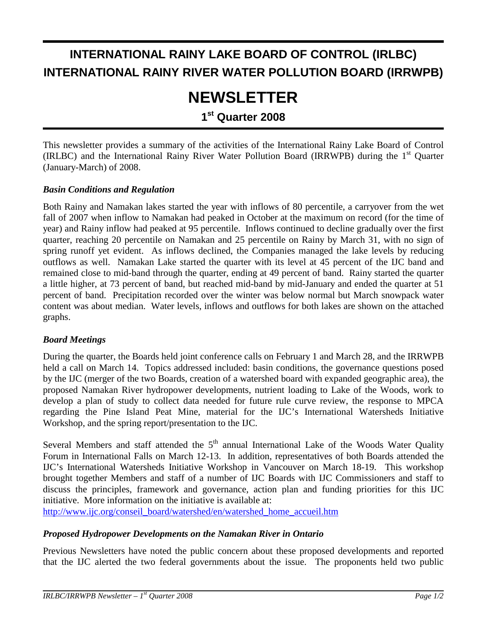# **INTERNATIONAL RAINY LAKE BOARD OF CONTROL (IRLBC) INTERNATIONAL RAINY RIVER WATER POLLUTION BOARD (IRRWPB)**

# **NEWSLETTER**

### **1st Quarter 2008**

This newsletter provides a summary of the activities of the International Rainy Lake Board of Control (IRLBC) and the International Rainy River Water Pollution Board (IRRWPB) during the 1<sup>st</sup> Ouarter (January-March) of 2008.

#### *Basin Conditions and Regulation*

Both Rainy and Namakan lakes started the year with inflows of 80 percentile, a carryover from the wet fall of 2007 when inflow to Namakan had peaked in October at the maximum on record (for the time of year) and Rainy inflow had peaked at 95 percentile. Inflows continued to decline gradually over the first quarter, reaching 20 percentile on Namakan and 25 percentile on Rainy by March 31, with no sign of spring runoff yet evident. As inflows declined, the Companies managed the lake levels by reducing outflows as well. Namakan Lake started the quarter with its level at 45 percent of the IJC band and remained close to mid-band through the quarter, ending at 49 percent of band. Rainy started the quarter a little higher, at 73 percent of band, but reached mid-band by mid-January and ended the quarter at 51 percent of band. Precipitation recorded over the winter was below normal but March snowpack water content was about median. Water levels, inflows and outflows for both lakes are shown on the attached graphs.

#### *Board Meetings*

During the quarter, the Boards held joint conference calls on February 1 and March 28, and the IRRWPB held a call on March 14. Topics addressed included: basin conditions, the governance questions posed by the IJC (merger of the two Boards, creation of a watershed board with expanded geographic area), the proposed Namakan River hydropower developments, nutrient loading to Lake of the Woods, work to develop a plan of study to collect data needed for future rule curve review, the response to MPCA regarding the Pine Island Peat Mine, material for the IJC's International Watersheds Initiative Workshop, and the spring report/presentation to the IJC.

Several Members and staff attended the  $5<sup>th</sup>$  annual International Lake of the Woods Water Quality Forum in International Falls on March 12-13. In addition, representatives of both Boards attended the IJC's International Watersheds Initiative Workshop in Vancouver on March 18-19. This workshop brought together Members and staff of a number of IJC Boards with IJC Commissioners and staff to discuss the principles, framework and governance, action plan and funding priorities for this IJC initiative. More information on the initiative is available at:

http://www.ijc.org/conseil\_board/watershed/en/watershed\_home\_accueil.htm

#### *Proposed Hydropower Developments on the Namakan River in Ontario*

Previous Newsletters have noted the public concern about these proposed developments and reported that the IJC alerted the two federal governments about the issue. The proponents held two public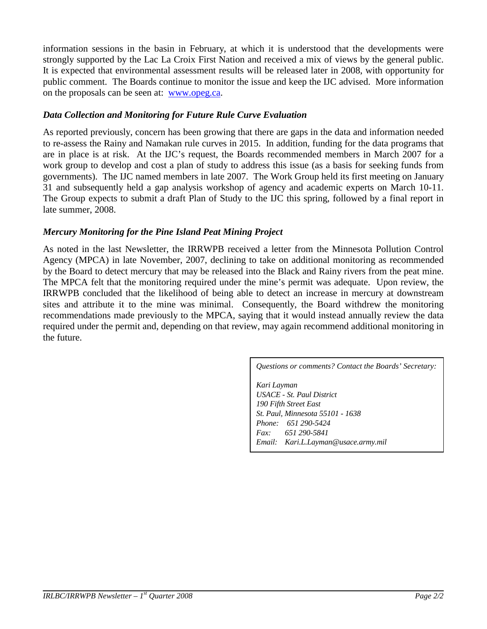information sessions in the basin in February, at which it is understood that the developments were strongly supported by the Lac La Croix First Nation and received a mix of views by the general public. It is expected that environmental assessment results will be released later in 2008, with opportunity for public comment. The Boards continue to monitor the issue and keep the IJC advised. More information on the proposals can be seen at: www.opeg.ca.

#### *Data Collection and Monitoring for Future Rule Curve Evaluation*

As reported previously, concern has been growing that there are gaps in the data and information needed to re-assess the Rainy and Namakan rule curves in 2015. In addition, funding for the data programs that are in place is at risk. At the IJC's request, the Boards recommended members in March 2007 for a work group to develop and cost a plan of study to address this issue (as a basis for seeking funds from governments). The IJC named members in late 2007. The Work Group held its first meeting on January 31 and subsequently held a gap analysis workshop of agency and academic experts on March 10-11. The Group expects to submit a draft Plan of Study to the IJC this spring, followed by a final report in late summer, 2008.

#### *Mercury Monitoring for the Pine Island Peat Mining Project*

As noted in the last Newsletter, the IRRWPB received a letter from the Minnesota Pollution Control Agency (MPCA) in late November, 2007, declining to take on additional monitoring as recommended by the Board to detect mercury that may be released into the Black and Rainy rivers from the peat mine. The MPCA felt that the monitoring required under the mine's permit was adequate. Upon review, the IRRWPB concluded that the likelihood of being able to detect an increase in mercury at downstream sites and attribute it to the mine was minimal. Consequently, the Board withdrew the monitoring recommendations made previously to the MPCA, saying that it would instead annually review the data required under the permit and, depending on that review, may again recommend additional monitoring in the future.

*Questions or comments? Contact the Boards' Secretary:* 

*Kari Layman USACE - St. Paul District 190 Fifth Street East St. Paul, Minnesota 55101 - 1638 Phone: 651 290-5424 Fax: 651 290-5841 Email: Kari.L.Layman@usace.army.mil*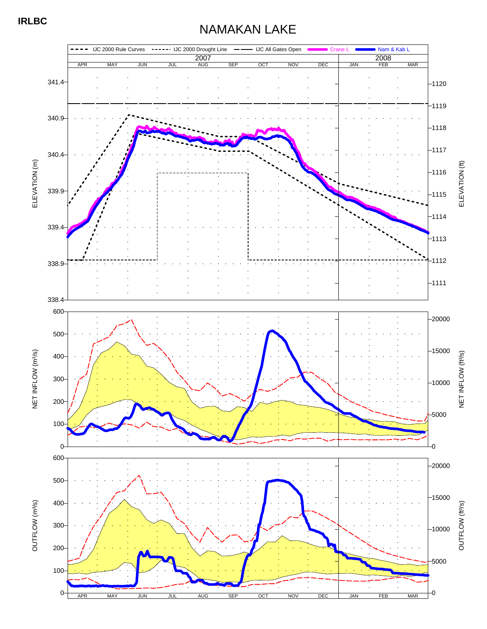## NAMAKAN LAKE